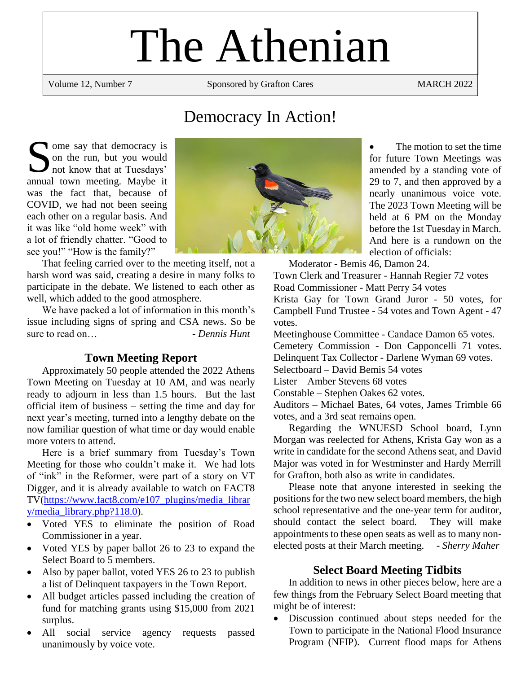# The Athenian

Volume 12, Number 7 Sponsored by Grafton Cares MARCH 2022

# Democracy In Action!

ome say that democracy is on the run, but you would not know that at Tuesdays' Some say that democracy is<br>
on the run, but you would<br>
not know that at Tuesdays'<br>
annual town meeting. Maybe it was the fact that, because of COVID, we had not been seeing each other on a regular basis. And it was like "old home week" with a lot of friendly chatter. "Good to see you!" "How is the family?"

That feeling carried over to the meeting itself, not a harsh word was said, creating a desire in many folks to participate in the debate. We listened to each other as well, which added to the good atmosphere.

We have packed a lot of information in this month's issue including signs of spring and CSA news. So be sure to read on…

#### **Town Meeting Report**

Approximately 50 people attended the 2022 Athens Town Meeting on Tuesday at 10 AM, and was nearly ready to adjourn in less than 1.5 hours. But the last official item of business – setting the time and day for next year's meeting, turned into a lengthy debate on the now familiar question of what time or day would enable more voters to attend.

Here is a brief summary from Tuesday's Town Meeting for those who couldn't make it. We had lots of "ink" in the Reformer, were part of a story on VT Digger, and it is already available to watch on FACT8 TV[\(https://www.fact8.com/e107\\_plugins/media\\_librar](https://www.fact8.com/e107_plugins/media_library/media_library.php?118.0) [y/media\\_library.php?118.0\)](https://www.fact8.com/e107_plugins/media_library/media_library.php?118.0).

- Voted YES to eliminate the position of Road Commissioner in a year.
- Voted YES by paper ballot 26 to 23 to expand the Select Board to 5 members.
- Also by paper ballot, voted YES 26 to 23 to publish a list of Delinquent taxpayers in the Town Report.
- All budget articles passed including the creation of fund for matching grants using \$15,000 from 2021 surplus.
- All social service agency requests passed unanimously by voice vote.



The motion to set the time for future Town Meetings was amended by a standing vote of 29 to 7, and then approved by a nearly unanimous voice vote. The 2023 Town Meeting will be held at 6 PM on the Monday before the 1st Tuesday in March. And here is a rundown on the election of officials:

Moderator - Bemis 46, Damon 24.

Town Clerk and Treasurer - Hannah Regier 72 votes Road Commissioner - Matt Perry 54 votes

Krista Gay for Town Grand Juror - 50 votes, for Campbell Fund Trustee - 54 votes and Town Agent - 47 votes.

Meetinghouse Committee - Candace Damon 65 votes. Cemetery Commission - Don Capponcelli 71 votes. Delinquent Tax Collector - Darlene Wyman 69 votes.

Selectboard – David Bemis 54 votes

Lister – Amber Stevens 68 votes

Constable – Stephen Oakes 62 votes.

Auditors – Michael Bates, 64 votes, James Trimble 66 votes, and a 3rd seat remains open.

Regarding the WNUESD School board, Lynn Morgan was reelected for Athens, Krista Gay won as a write in candidate for the second Athens seat, and David Major was voted in for Westminster and Hardy Merrill for Grafton, both also as write in candidates.

Please note that anyone interested in seeking the positions for the two new select board members, the high school representative and the one-year term for auditor, should contact the select board. They will make appointments to these open seats as well as to many nonelected posts at their March meeting. - *Sherry Maher*

#### **Select Board Meeting Tidbits**

In addition to news in other pieces below, here are a few things from the February Select Board meeting that might be of interest:

Discussion continued about steps needed for the Town to participate in the National Flood Insurance Program (NFIP). Current flood maps for Athens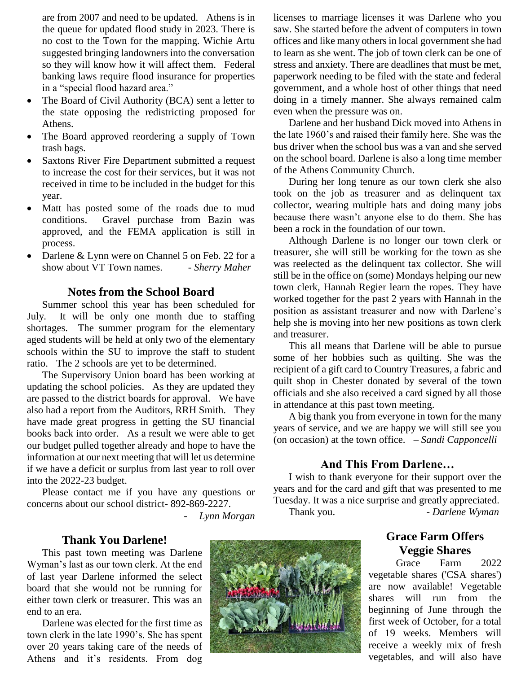are from 2007 and need to be updated. Athens is in the queue for updated flood study in 2023. There is no cost to the Town for the mapping. Wichie Artu suggested bringing landowners into the conversation so they will know how it will affect them. Federal banking laws require flood insurance for properties in a "special flood hazard area."

- The Board of Civil Authority (BCA) sent a letter to the state opposing the redistricting proposed for Athens.
- The Board approved reordering a supply of Town trash bags.
- Saxtons River Fire Department submitted a request to increase the cost for their services, but it was not received in time to be included in the budget for this year.
- Matt has posted some of the roads due to mud conditions. Gravel purchase from Bazin was approved, and the FEMA application is still in process.
- Darlene & Lynn were on Channel 5 on Feb. 22 for a show about VT Town names. - *Sherry Maher*

#### **Notes from the School Board**

Summer school this year has been scheduled for July. It will be only one month due to staffing shortages. The summer program for the elementary aged students will be held at only two of the elementary schools within the SU to improve the staff to student ratio. The 2 schools are yet to be determined.

The Supervisory Union board has been working at updating the school policies. As they are updated they are passed to the district boards for approval. We have also had a report from the Auditors, RRH Smith. They have made great progress in getting the SU financial books back into order. As a result we were able to get our budget pulled together already and hope to have the information at our next meeting that will let us determine if we have a deficit or surplus from last year to roll over into the 2022-23 budget.

Please contact me if you have any questions or concerns about our school district- 892-869-2227.

- *Lynn Morgan*

#### **Thank You Darlene!**

This past town meeting was Darlene Wyman's last as our town clerk. At the end of last year Darlene informed the select board that she would not be running for either town clerk or treasurer. This was an end to an era.

Darlene was elected for the first time as town clerk in the late 1990's. She has spent over 20 years taking care of the needs of Athens and it's residents. From dog



licenses to marriage licenses it was Darlene who you saw. She started before the advent of computers in town offices and like many others in local government she had to learn as she went. The job of town clerk can be one of stress and anxiety. There are deadlines that must be met, paperwork needing to be filed with the state and federal government, and a whole host of other things that need doing in a timely manner. She always remained calm even when the pressure was on.

Darlene and her husband Dick moved into Athens in the late 1960's and raised their family here. She was the bus driver when the school bus was a van and she served on the school board. Darlene is also a long time member of the Athens Community Church.

During her long tenure as our town clerk she also took on the job as treasurer and as delinquent tax collector, wearing multiple hats and doing many jobs because there wasn't anyone else to do them. She has been a rock in the foundation of our town.

Although Darlene is no longer our town clerk or treasurer, she will still be working for the town as she was reelected as the delinquent tax collector. She will still be in the office on (some) Mondays helping our new town clerk, Hannah Regier learn the ropes. They have worked together for the past 2 years with Hannah in the position as assistant treasurer and now with Darlene's help she is moving into her new positions as town clerk and treasurer.

This all means that Darlene will be able to pursue some of her hobbies such as quilting. She was the recipient of a gift card to Country Treasures, a fabric and quilt shop in Chester donated by several of the town officials and she also received a card signed by all those in attendance at this past town meeting.

A big thank you from everyone in town for the many years of service, and we are happy we will still see you (on occasion) at the town office. – *Sandi Capponcelli*

#### **And This From Darlene…**

I wish to thank everyone for their support over the years and for the card and gift that was presented to me Tuesday. It was a nice surprise and greatly appreciated. Thank you.  $D$ <sub>*- Darlene Wyman*</sub>

### **Grace Farm Offers Veggie Shares**

Grace Farm 2022 vegetable shares ('CSA shares') are now available! Vegetable shares will run from the beginning of June through the first week of October, for a total of 19 weeks. Members will receive a weekly mix of fresh vegetables, and will also have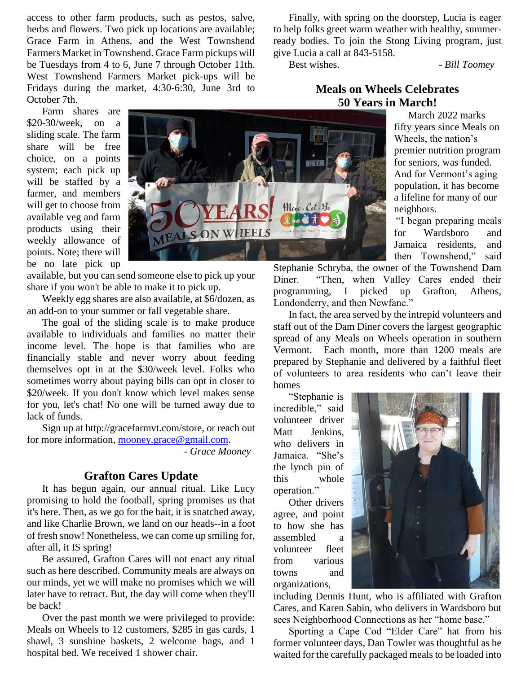access to other farm products, such as pestos, salve, herbs and flowers. Two pick up locations are available; Grace Farm in Athens, and the West Townshend Farmers Market in Townshend. Grace Farm pickups will be Tuesdays from 4 to 6, June 7 through October 11th. West Townshend Farmers Market pick-ups will be Fridays during the market, 4:30-6:30, June 3rd to October 7th.

Farm shares are \$20-30/week, on a sliding scale. The farm share will be free choice, on a points system; each pick up will be staffed by a farmer, and members will get to choose from available veg and farm products using their weekly allowance of points. Note; there will be no late pick up



available, but you can send someone else to pick up your share if you won't be able to make it to pick up.

Weekly egg shares are also available, at \$6/dozen, as an add-on to your summer or fall vegetable share.

The goal of the sliding scale is to make produce available to individuals and families no matter their income level. The hope is that families who are financially stable and never worry about feeding themselves opt in at the \$30/week level. Folks who sometimes worry about paying bills can opt in closer to \$20/week. If you don't know which level makes sense for you, let's chat! No one will be turned away due to lack of funds.

Sign up at http://gracefarmvt.com/store, or reach out for more information, [mooney.grace@gmail.com.](mailto:mooney.grace@gmail.com)

- *Grace Mooney*

#### **Grafton Cares Update**

It has begun again, our annual ritual. Like Lucy promising to hold the football, spring promises us that it's here. Then, as we go for the bait, it is snatched away, and like Charlie Brown, we land on our heads--in a foot of fresh snow! Nonetheless, we can come up smiling for, after all, it IS spring!

Be assured, Grafton Cares will not enact any ritual such as here described. Community meals are always on our minds, yet we will make no promises which we will later have to retract. But, the day will come when they'll be back!

Over the past month we were privileged to provide: Meals on Wheels to 12 customers, \$285 in gas cards, 1 shawl, 3 sunshine baskets, 2 welcome bags, and 1 hospital bed. We received 1 shower chair.

Finally, with spring on the doorstep, Lucia is eager to help folks greet warm weather with healthy, summerready bodies. To join the Stong Living program, just give Lucia a call at 843-5158.

Best wishes.  $Bill Toomey$ 

#### **Meals on Wheels Celebrates 50 Years in March!**

 March 2022 marks fifty years since Meals on Wheels, the nation's premier nutrition program for seniors, was funded. And for Vermont's aging population, it has become a lifeline for many of our neighbors.

"I began preparing meals for Wardsboro and Jamaica residents, and then Townshend," said

Stephanie Schryba, the owner of the Townshend Dam Diner. "Then, when Valley Cares ended their programming, I picked up Grafton, Athens, Londonderry, and then Newfane."

In fact, the area served by the intrepid volunteers and staff out of the Dam Diner covers the largest geographic spread of any Meals on Wheels operation in southern Vermont. Each month, more than 1200 meals are prepared by Stephanie and delivered by a faithful fleet of volunteers to area residents who can't leave their homes

"Stephanie is incredible," said volunteer driver Matt Jenkins, who delivers in Jamaica. "She's the lynch pin of this whole operation."

Other drivers agree, and point to how she has assembled a volunteer fleet from various towns and organizations,



including Dennis Hunt, who is affiliated with Grafton Cares, and Karen Sabin, who delivers in Wardsboro but sees Neighborhood Connections as her "home base."

Sporting a Cape Cod "Elder Care" hat from his former volunteer days, Dan Towler was thoughtful as he waited for the carefully packaged meals to be loaded into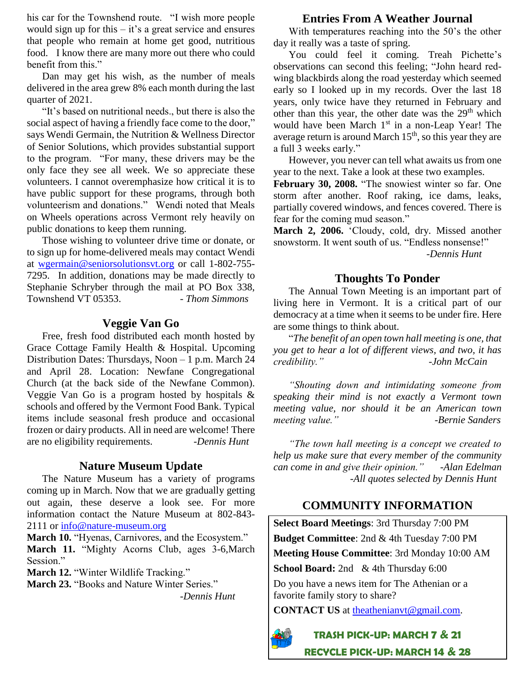his car for the Townshend route. "I wish more people would sign up for this  $-$  it's a great service and ensures that people who remain at home get good, nutritious food. I know there are many more out there who could benefit from this."

Dan may get his wish, as the number of meals delivered in the area grew 8% each month during the last quarter of 2021.

"It's based on nutritional needs., but there is also the social aspect of having a friendly face come to the door," says Wendi Germain, the Nutrition & Wellness Director of Senior Solutions, which provides substantial support to the program. "For many, these drivers may be the only face they see all week. We so appreciate these volunteers. I cannot overemphasize how critical it is to have public support for these programs, through both volunteerism and donations." Wendi noted that Meals on Wheels operations across Vermont rely heavily on public donations to keep them running.

Those wishing to volunteer drive time or donate, or to sign up for home-delivered meals may contact Wendi at [wgermain@seniorsolutionsvt.org](mailto:wgermain@seniorsolutionsvt.org) or call 1-802-755- 7295. In addition, donations may be made directly to Stephanie Schryber through the mail at PO Box 338, Townshend VT 05353. - *Thom Simmons* 

#### **Veggie Van Go**

Free, fresh food distributed each month hosted by Grace Cottage Family Health & Hospital. Upcoming Distribution Dates: Thursdays, Noon – 1 p.m. March 24 and April 28. Location: Newfane Congregational Church (at the back side of the Newfane Common). Veggie Van Go is a program hosted by hospitals & schools and offered by the Vermont Food Bank. Typical items include seasonal fresh produce and occasional frozen or dairy products. All in need are welcome! There are no eligibility requirements. *-Dennis Hunt*

#### **Nature Museum Update**

The Nature Museum has a variety of programs coming up in March. Now that we are gradually getting out again, these deserve a look see. For more information contact the Nature Museum at 802-843- 2111 or [info@nature-museum.org](mailto:info@nature-museum.org)

March 10. "Hyenas, Carnivores, and the Ecosystem." **March 11.** "Mighty Acorns Club, ages 3-6,March Session."

**March 12.** "Winter Wildlife Tracking." **March 23.** "Books and Nature Winter Series."

*-Dennis Hunt*

#### **Entries From A Weather Journal**

With temperatures reaching into the 50's the other day it really was a taste of spring.

You could feel it coming. Treah Pichette's observations can second this feeling; "John heard redwing blackbirds along the road yesterday which seemed early so I looked up in my records. Over the last 18 years, only twice have they returned in February and other than this year, the other date was the  $29<sup>th</sup>$  which would have been March 1<sup>st</sup> in a non-Leap Year! The average return is around March  $15<sup>th</sup>$ , so this year they are a full 3 weeks early."

However, you never can tell what awaits us from one year to the next. Take a look at these two examples. **February 30, 2008.** "The snowiest winter so far. One storm after another. Roof raking, ice dams, leaks,

partially covered windows, and fences covered. There is fear for the coming mud season."

**March 2, 2006.** 'Cloudy, cold, dry. Missed another snowstorm. It went south of us. "Endless nonsense!" *-Dennis Hunt*

#### **Thoughts To Ponder**

The Annual Town Meeting is an important part of living here in Vermont. It is a critical part of our democracy at a time when it seems to be under fire. Here are some things to think about.

"*The benefit of an open town hall meeting is one, that you get to hear a lot of different views, and two, it has credibility." -John McCain* 

*"Shouting down and intimidating someone from speaking their mind is not exactly a Vermont town meeting value, nor should it be an American town meeting value." -Bernie Sanders*

*"The town hall meeting is a concept we created to help us make sure that every member of the community can come in and give their opinion." -Alan Edelman -All quotes selected by Dennis Hunt*

## **COMMUNITY INFORMATION**

**Select Board Meetings**: 3rd Thursday 7:00 PM **Budget Committee**: 2nd & 4th Tuesday 7:00 PM **Meeting House Committee**: 3rd Monday 10:00 AM School Board: 2nd & 4th Thursday 6:00

Do you have a news item for The Athenian or a favorite family story to share?

**CONTACT US** at [theathenianvt@gmail.com.](mailto:theathenianvt@gmail.com)



**TRASH PICK-UP: MARCH 7 & 21 RECYCLE PICK-UP: MARCH 14 & 28**